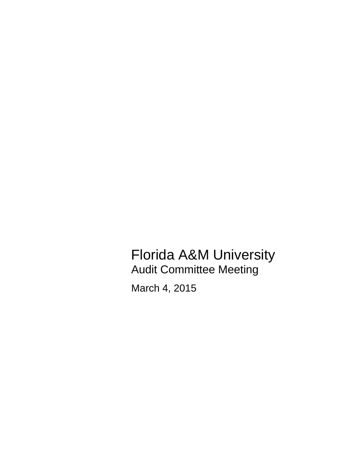Florida A&M University Audit Committee Meeting

March 4, 2015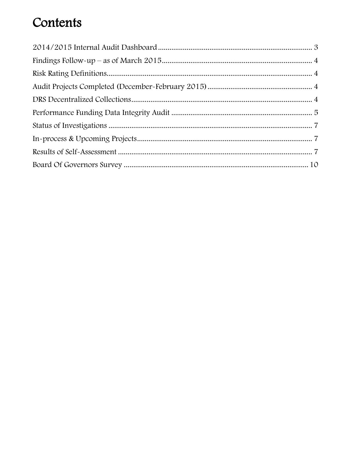## Contents

<span id="page-1-0"></span>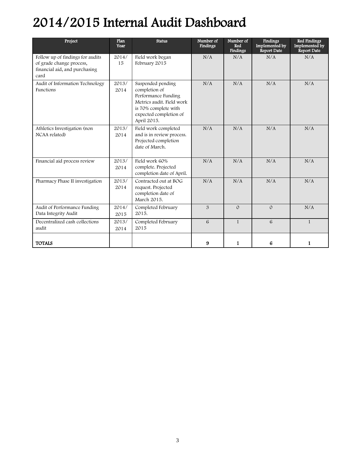# 2014/2015 Internal Audit Dashboard

| Project                                                                                               | Plan<br>Year  | <b>Status</b>                                                                                                                                           | Number of<br><b>Findings</b> | Number of<br>Red<br><b>Findings</b> | Findings<br>Implemented by<br>Report Date | Red Findings<br>Implemented by<br>Report Date |
|-------------------------------------------------------------------------------------------------------|---------------|---------------------------------------------------------------------------------------------------------------------------------------------------------|------------------------------|-------------------------------------|-------------------------------------------|-----------------------------------------------|
| Follow up of findings for audits<br>of grade change process,<br>financial aid, and purchasing<br>card | 2014/<br>15   | Field work began<br>February 2015                                                                                                                       | N/A                          | N/A                                 | N/A                                       | N/A                                           |
| Audit of Information Technology<br>Functions                                                          | 2013/<br>2014 | Suspended pending<br>completion of<br>Performance Funding<br>Metrics audit. Field work<br>is 70% complete with<br>expected completion of<br>April 2015. | N/A                          | N/A                                 | N/A                                       | N/A                                           |
| Athletics Investigation (non<br>NCAA related)                                                         | 2013/<br>2014 | Field work completed<br>and is in review process.<br>Projected completion<br>date of March.                                                             | N/A                          | N/A                                 | N/A                                       | N/A                                           |
| Financial aid process review                                                                          | 2013/<br>2014 | Field work 60%<br>complete. Projected<br>completion date of April.                                                                                      | N/A                          | N/A                                 | N/A                                       | N/A                                           |
| Pharmacy Phase II investigation                                                                       | 2013/<br>2014 | Contracted out at BOG<br>request. Projected<br>completion date of<br>March 2015.                                                                        | N/A                          | N/A                                 | N/A                                       | N/A                                           |
| Audit of Performance Funding<br>Data Integrity Audit                                                  | 2014/<br>2015 | Completed February<br>2015.                                                                                                                             | 3                            | $\Omega$                            | $\Omega$                                  | N/A                                           |
| Decentralized cash collections<br>audit                                                               | 2013/<br>2014 | Completed February<br>2015                                                                                                                              | 6                            | $\mathbf{1}$                        | 6                                         | 1                                             |
| <b>TOTALS</b>                                                                                         |               |                                                                                                                                                         | 9                            | 1                                   | 6                                         | 1                                             |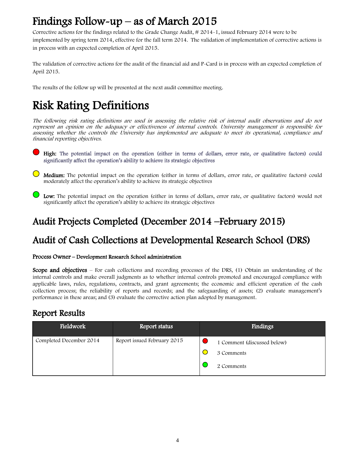## <span id="page-3-0"></span>Findings Follow-up – as of March 2015

Corrective actions for the findings related to the Grade Change Audit, # 2014-1, issued February 2014 were to be implemented by spring term 2014, effective for the fall term 2014. The validation of implementation of corrective actions is in process with an expected completion of April 2015.

The validation of corrective actions for the audit of the financial aid and P-Card is in process with an expected completion of April 2015.

The results of the follow up will be presented at the next audit committee meeting.

## <span id="page-3-1"></span>Risk Rating Definitions

The following risk rating definitions are used in assessing the relative risk of internal audit observations and do not represent an opinion on the adequacy or effectiveness of internal controls. University management is responsible for assessing whether the controls the University has implemented are adequate to meet its operational, compliance and financial reporting objectives.

 High: The potential impact on the operation (either in terms of dollars, error rate, or qualitative factors) could significantly affect the operation's ability to achieve its strategic objectives

- $\bigcirc$  Medium: The potential impact on the operation (either in terms of dollars, error rate, or qualitative factors) could moderately affect the operation's ability to achieve its strategic objectives
- $\bigcup$  Low: The potential impact on the operation (either in terms of dollars, error rate, or qualitative factors) would not significantly affect the operation's ability to achieve its strategic objectives

### <span id="page-3-2"></span>Audit Projects Completed (December 2014 –February 2015)

### Audit of Cash Collections at Developmental Research School (DRS)

#### Process Owner – Development Research School administration

Scope and objectives – For cash collections and recording processes of the DRS, (1) Obtain an understanding of the internal controls and make overall judgments as to whether internal controls promoted and encouraged compliance with applicable laws, rules, regulations, contracts, and grant agreements; the economic and efficient operation of the cash collection process; the reliability of reports and records; and the safeguarding of assets; (2) evaluate management's performance in these areas; and (3) evaluate the corrective action plan adopted by management.

#### Report Results

| Fieldwork               | Report status               | Findings                                                |
|-------------------------|-----------------------------|---------------------------------------------------------|
| Completed December 2014 | Report issued February 2015 | 1 Comment (discussed below)<br>3 Comments<br>2 Comments |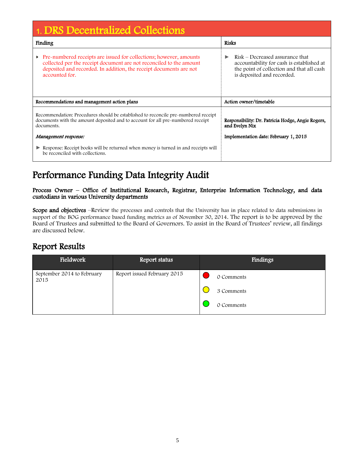| 1. DRS Decentralized Collections                                                                                                                                                                                                       |                                                                                                                                                              |  |  |  |
|----------------------------------------------------------------------------------------------------------------------------------------------------------------------------------------------------------------------------------------|--------------------------------------------------------------------------------------------------------------------------------------------------------------|--|--|--|
| Finding                                                                                                                                                                                                                                | <b>Risks</b>                                                                                                                                                 |  |  |  |
| Pre-numbered receipts are issued for collections; however, amounts<br>▶<br>collected per the receipt document are not reconciled to the amount<br>deposited and recorded. In addition, the receipt documents are not<br>accounted for. | Risk – Decreased assurance that<br>▶<br>accountability for cash is established at<br>the point of collection and that all cash<br>is deposited and recorded. |  |  |  |
| Recommendations and management action plans                                                                                                                                                                                            | Action owner/timetable                                                                                                                                       |  |  |  |
| Recommendation: Procedures should be established to reconcile pre-numbered receipt<br>documents with the amount deposited and to account for all pre-numbered receipt<br>documents.                                                    | Responsibility: Dr. Patricia Hodge, Angie Rogers,<br>and Evelyn Nix                                                                                          |  |  |  |
| Management response:                                                                                                                                                                                                                   | Implementation date: February 1, 2015                                                                                                                        |  |  |  |
| Response: Receipt books will be returned when money is turned in and receipts will<br>be reconciled with collections.                                                                                                                  |                                                                                                                                                              |  |  |  |

### Performance Funding Data Integrity Audit

Process Owner – Office of Institutional Research, Registrar, Enterprise Information Technology, and data custodians in various University departments

Scope and objectives –Review the processes and controls that the University has in place related to data submissions in support of the BOG performance based funding metrics as of November 30, 2014. The report is to be approved by the Board of Trustees and submitted to the Board of Governors. To assist in the Board of Trustees' review, all findings are discussed below.

### Report Results

| Fieldwork                          | Report status               | Findings   |
|------------------------------------|-----------------------------|------------|
| September 2014 to February<br>2015 | Report issued February 2015 | 0 Comments |
|                                    |                             | 3 Comments |
|                                    |                             | 0 Comments |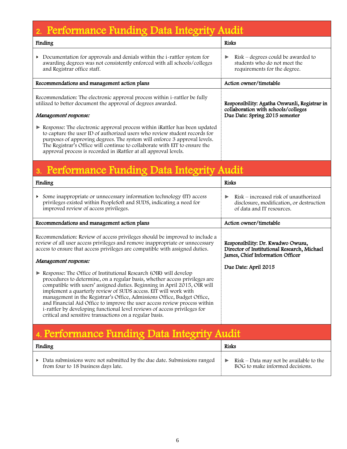| Performance Funding Data Integrity Audit                                                                                                                                                                                                                                                                                                                                                                                                                                                                                                                                                        |                                                                                                                      |
|-------------------------------------------------------------------------------------------------------------------------------------------------------------------------------------------------------------------------------------------------------------------------------------------------------------------------------------------------------------------------------------------------------------------------------------------------------------------------------------------------------------------------------------------------------------------------------------------------|----------------------------------------------------------------------------------------------------------------------|
| <b>Finding</b>                                                                                                                                                                                                                                                                                                                                                                                                                                                                                                                                                                                  | <b>Risks</b>                                                                                                         |
| Documentation for approvals and denials within the i-rattler system for<br>▶<br>awarding degrees was not consistently enforced with all schools/colleges<br>and Registrar office staff.                                                                                                                                                                                                                                                                                                                                                                                                         | $Risk$ – degrees could be awarded to<br>▶<br>students who do not meet the<br>requirements for the degree.            |
| Recommendations and management action plans                                                                                                                                                                                                                                                                                                                                                                                                                                                                                                                                                     | Action owner/timetable                                                                                               |
| Recommendation: The electronic approval process within i-rattler be fully<br>utilized to better document the approval of degrees awarded.                                                                                                                                                                                                                                                                                                                                                                                                                                                       | Responsibility: Agatha Onwunli, Registrar in<br>collaboration with schools/colleges                                  |
| Management response:                                                                                                                                                                                                                                                                                                                                                                                                                                                                                                                                                                            | Due Date: Spring 2015 semester                                                                                       |
| Response: The electronic approval process within iRattler has been updated<br>to capture the user ID of authorized users who review student records for<br>purposes of approving degrees. The system will enforce 3 approval levels.<br>The Registrar's Office will continue to collaborate with EIT to ensure the<br>approval process is recorded in iRattler at all approval levels.                                                                                                                                                                                                          |                                                                                                                      |
| Performance Funding Data Integrity Audit                                                                                                                                                                                                                                                                                                                                                                                                                                                                                                                                                        |                                                                                                                      |
| <b>Finding</b>                                                                                                                                                                                                                                                                                                                                                                                                                                                                                                                                                                                  | <b>Risks</b>                                                                                                         |
| • Some inappropriate or unnecessary information technology (IT) access<br>privileges existed within PeopleSoft and SUDS, indicating a need for<br>improved review of access privileges.                                                                                                                                                                                                                                                                                                                                                                                                         | Risk – increased risk of unauthorized<br>▶<br>disclosure, modification, or destruction<br>of data and IT resources.  |
| Recommendations and management action plans                                                                                                                                                                                                                                                                                                                                                                                                                                                                                                                                                     | Action owner/timetable                                                                                               |
| Recommendation: Review of access privileges should be improved to include a<br>review of all user access privileges and remove inappropriate or unnecessary<br>access to ensure that access privileges are compatible with assigned duties.<br>Management response:                                                                                                                                                                                                                                                                                                                             | Responsibility: Dr. Kwadwo Owusu,<br>Director of Institutional Research, Michael<br>James, Chief Information Officer |
| Response: The Office of Institutional Research (OIR) will develop<br>procedures to determine, on a regular basis, whether access privileges are<br>compatible with users' assigned duties. Beginning in April 2015, OIR will<br>implement a quarterly review of SUDS access. EIT will work with<br>management in the Registrar's Office, Admissions Office, Budget Office,<br>and Financial Aid Office to improve the user access review process within<br>i-rattler by developing functional level reviews of access privileges for<br>critical and sensitive transactions on a regular basis. | Due Date: April 2015                                                                                                 |
| 4. Performance Funding Data Integrity Audit                                                                                                                                                                                                                                                                                                                                                                                                                                                                                                                                                     |                                                                                                                      |
| <b>Finding</b>                                                                                                                                                                                                                                                                                                                                                                                                                                                                                                                                                                                  | <b>Risks</b>                                                                                                         |
| • Data submissions were not submitted by the due date. Submissions ranged<br>from four to 18 business days late.                                                                                                                                                                                                                                                                                                                                                                                                                                                                                | $Risk$ – Data may not be available to the<br>▶<br>BOG to make informed decisions.                                    |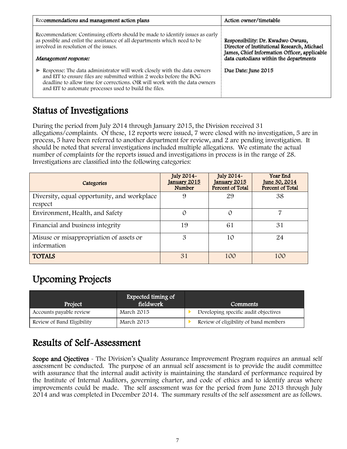| Recommendations and management action plans                                                                                                                                                                                                                                                    | Action owner/timetable                                                                                                                                                     |
|------------------------------------------------------------------------------------------------------------------------------------------------------------------------------------------------------------------------------------------------------------------------------------------------|----------------------------------------------------------------------------------------------------------------------------------------------------------------------------|
| Recommendation: Continuing efforts should be made to identify issues as early<br>as possible and enlist the assistance of all departments which need to be<br>involved in resolution of the issues.<br>Management response:                                                                    | Responsibility: Dr. Kwadwo Owusu,<br>Director of Institutional Research, Michael<br>James, Chief Information Officer, applicable<br>data custodians within the departments |
| Example Response: The data administrator will work closely with the data owners<br>and EIT to ensure files are submitted within 2 weeks before the BOG<br>deadline to allow time for corrections. OIR will work with the data owners<br>and EIT to automate processes used to build the files. | Due Date: June 2015                                                                                                                                                        |

### Status of Investigations

During the period from July 2014 through January 2015, the Division received 31 allegations/complaints. Of these, 12 reports were issued, 7 were closed with no investigation, 5 are in process, 5 have been referred to another department for review, and 2 are pending investigation. It should be noted that several investigations included multiple allegations. We estimate the actual number of complaints for the reports issued and investigations in process is in the range of 28. Investigations are classified into the following categories:

| Categories                                             | July 2014~<br>January 2015<br><b>Number</b> | July 2014~<br>January 2015<br>Percent of Total | Year End<br><u>June 30, 2014</u><br>Percent of Total |
|--------------------------------------------------------|---------------------------------------------|------------------------------------------------|------------------------------------------------------|
| Diversity, equal opportunity, and workplace<br>respect | 9                                           | 29                                             | 38                                                   |
| Environment, Health, and Safety                        | $\Omega$                                    | $\mathcal{O}$                                  |                                                      |
| Financial and business integrity                       | 19                                          | 61                                             | 31                                                   |
| Misuse or misappropriation of assets or<br>information | 3                                           | 10                                             | 24                                                   |
| <b>TOTALS</b>                                          | 31                                          | 100                                            | 100                                                  |

### <span id="page-6-0"></span>Upcoming Projects

| Project                    | Expected timing of<br>fieldwork | Comments                              |
|----------------------------|---------------------------------|---------------------------------------|
| Accounts payable review    | March 2015                      | Developing specific audit objectives  |
| Review of Band Eligibility | March 2015                      | Review of eligibility of band members |

### <span id="page-6-1"></span>Results of Self-Assessment

Scope and Ojectives - The Division's Quality Assurance Improvement Program requires an annual self assessment be conducted. The purpose of an annual self assessment is to provide the audit committee with assurance that the internal audit activity is maintaining the standard of performance required by the Institute of Internal Auditors, governing charter, and code of ethics and to identify areas where improvements could be made. The self assessment was for the period from June 2013 through July 2014 and was completed in December 2014. The summary results of the self assessment are as follows.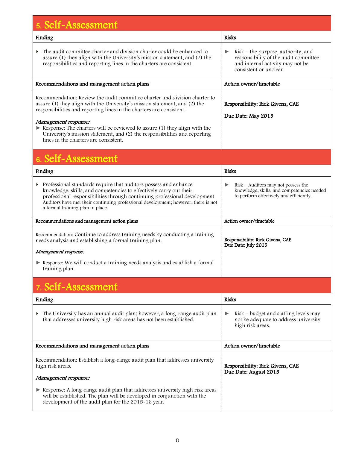| 5. Self-Assessment                                                                                                                                                                                                                                                                                                                                                                                                                                           |                                                                                                                                                  |
|--------------------------------------------------------------------------------------------------------------------------------------------------------------------------------------------------------------------------------------------------------------------------------------------------------------------------------------------------------------------------------------------------------------------------------------------------------------|--------------------------------------------------------------------------------------------------------------------------------------------------|
| Finding                                                                                                                                                                                                                                                                                                                                                                                                                                                      | <b>Risks</b>                                                                                                                                     |
| The audit committee charter and division charter could be enhanced to<br>Þ.<br>assure (1) they align with the University's mission statement, and (2) the<br>responsibilities and reporting lines in the charters are consistent.                                                                                                                                                                                                                            | $Risk$ – the purpose, authority, and<br>▶<br>responsibility of the audit committee<br>and internal activity may not be<br>consistent or unclear. |
| Recommendations and management action plans                                                                                                                                                                                                                                                                                                                                                                                                                  | Action owner/timetable                                                                                                                           |
| Recommendation: Review the audit committee charter and division charter to<br>assure (1) they align with the University's mission statement, and (2) the<br>responsibilities and reporting lines in the charters are consistent.<br>Management response:<br>Response: The charters will be reviewed to assure (1) they align with the<br>University's mission statement, and (2) the responsibilities and reporting<br>lines in the charters are consistent. | Responsibility: Rick Givens, CAE<br>Due Date: May 2015                                                                                           |
| 6. Self-Assessment                                                                                                                                                                                                                                                                                                                                                                                                                                           |                                                                                                                                                  |
| Finding                                                                                                                                                                                                                                                                                                                                                                                                                                                      | <b>Risks</b>                                                                                                                                     |
| Professional standards require that auditors possess and enhance<br>knowledge, skills, and competencies to effectively carry out their<br>professional responsibilities through continuing professional development.<br>Auditors have met their continuing professional development; however, there is not<br>a formal training plan in place.                                                                                                               | Risk - Auditors may not possess the<br>▶<br>knowledge, skills, and competencies needed<br>to perform effectively and efficiently.                |
| Recommendations and management action plans                                                                                                                                                                                                                                                                                                                                                                                                                  | Action owner/timetable                                                                                                                           |
| Recommendation: Continue to address training needs by conducting a training<br>needs analysis and establishing a formal training plan.                                                                                                                                                                                                                                                                                                                       | Responsibility: Rick Givens, CAE<br>Due Date: July 2015                                                                                          |
| Management response:                                                                                                                                                                                                                                                                                                                                                                                                                                         |                                                                                                                                                  |
| Response: We will conduct a training needs analysis and establish a formal<br>training plan.                                                                                                                                                                                                                                                                                                                                                                 |                                                                                                                                                  |
| 7. Self-Assessment                                                                                                                                                                                                                                                                                                                                                                                                                                           |                                                                                                                                                  |
| Finding                                                                                                                                                                                                                                                                                                                                                                                                                                                      | <b>Risks</b>                                                                                                                                     |
| The University has an annual audit plan; however, a long-range audit plan<br>that addresses university high risk areas has not been established.                                                                                                                                                                                                                                                                                                             | Risk – budget and staffing levels may<br>▶<br>not be adequate to address university<br>high risk areas.                                          |
| Recommendations and management action plans                                                                                                                                                                                                                                                                                                                                                                                                                  | Action owner/timetable                                                                                                                           |
| Recommendation: Establish a long-range audit plan that addresses university<br>high risk areas.<br>Management response:                                                                                                                                                                                                                                                                                                                                      | Responsibility: Rick Givens, CAE<br>Due Date: August 2015                                                                                        |
| Response: A long-range audit plan that addresses university high risk areas<br>will be established. The plan will be developed in conjunction with the<br>development of the audit plan for the 2015-16 year.                                                                                                                                                                                                                                                |                                                                                                                                                  |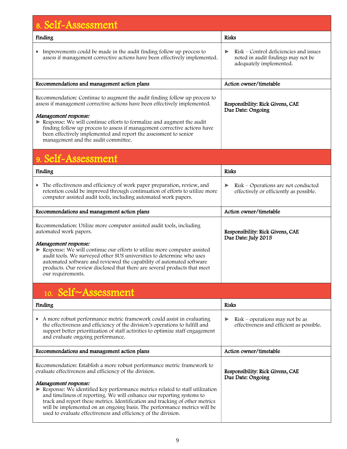| 8. Self-Assessment                                                                                                                                                                                                                                                                                                                                                                                                                                    |                                                                                                              |
|-------------------------------------------------------------------------------------------------------------------------------------------------------------------------------------------------------------------------------------------------------------------------------------------------------------------------------------------------------------------------------------------------------------------------------------------------------|--------------------------------------------------------------------------------------------------------------|
| Finding                                                                                                                                                                                                                                                                                                                                                                                                                                               | <b>Risks</b>                                                                                                 |
| $\triangleright$ Improvements could be made in the audit finding follow up process to<br>assess if management corrective actions have been effectively implemented.                                                                                                                                                                                                                                                                                   | Risk – Control deficiencies and issues<br>▶<br>noted in audit findings may not be<br>adequately implemented. |
| Recommendations and management action plans                                                                                                                                                                                                                                                                                                                                                                                                           | Action owner/timetable                                                                                       |
| Recommendation: Continue to augment the audit finding follow up process to<br>assess if management corrective actions have been effectively implemented.<br>Management response:<br>Response: We will continue efforts to formalize and augment the audit<br>finding follow up process to assess if management corrective actions have<br>been effectively implemented and report the assessment to senior<br>management and the audit committee.     | Responsibility: Rick Givens, CAE<br>Due Date: Ongoing                                                        |
| 9. Self-Assessment                                                                                                                                                                                                                                                                                                                                                                                                                                    |                                                                                                              |
| Finding                                                                                                                                                                                                                                                                                                                                                                                                                                               | <b>Risks</b>                                                                                                 |
| The effectiveness and efficiency of work paper preparation, review, and<br>retention could be improved through continuation of efforts to utilize more<br>computer assisted audit tools, including automated work papers.                                                                                                                                                                                                                             | Risk – Operations are not conducted<br>▶<br>effectively or efficiently as possible.                          |
| Recommendations and management action plans                                                                                                                                                                                                                                                                                                                                                                                                           | Action owner/timetable                                                                                       |
| Recommendation: Utilize more computer assisted audit tools, including<br>automated work papers.<br>Management response:<br>Response: We will continue our efforts to utilize more computer assisted<br>audit tools. We surveyed other SUS universities to determine who uses<br>automated software and reviewed the capability of automated software<br>products. Our review disclosed that there are several products that meet<br>our requirements. | Responsibility: Rick Givens, CAE<br>Due Date: July 2015                                                      |
| 10. Self~Assessment                                                                                                                                                                                                                                                                                                                                                                                                                                   |                                                                                                              |
| Finding                                                                                                                                                                                                                                                                                                                                                                                                                                               | <b>Risks</b>                                                                                                 |
| A more robust performance metric framework could assist in evaluating<br>the effectiveness and efficiency of the division's operations to fulfill and<br>support better prioritization of staff activities to optimize staff engagement<br>and evaluate ongoing performance.                                                                                                                                                                          | $Risk$ – operations may not be as<br>▶<br>effectiveness and efficient as possible.                           |
| Recommendations and management action plans                                                                                                                                                                                                                                                                                                                                                                                                           | Action owner/timetable                                                                                       |
| Recommendation: Establish a more robust performance metric framework to<br>evaluate effectiveness and efficiency of the division.<br>Management response:<br>Response: We identified key performance metrics related to staff utilization<br>and timeliness of reporting. We will enhance our reporting systems to<br>track and report these metrics. Identification and tracking of other metrics                                                    | Responsibility: Rick Givens, CAE<br>Due Date: Ongoing                                                        |
| will be implemented on an ongoing basis. The performance metrics will be<br>used to evaluate effectiveness and efficiency of the division.                                                                                                                                                                                                                                                                                                            |                                                                                                              |